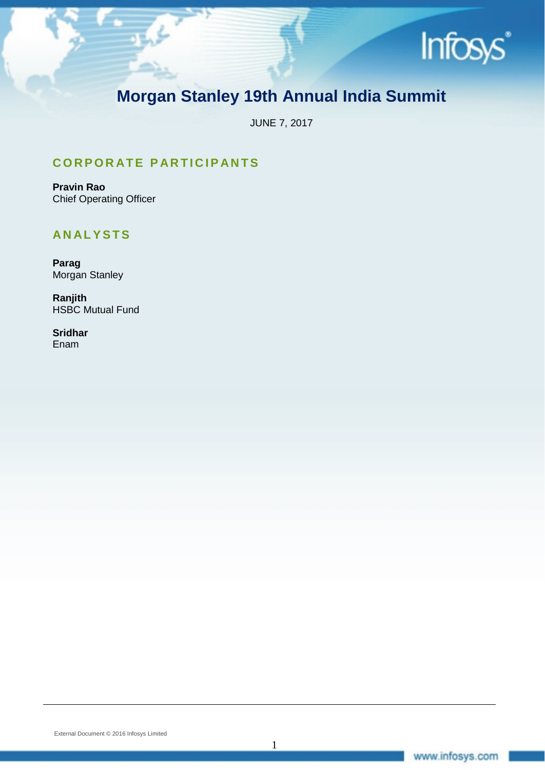

# **Morgan Stanley 19th Annual India Summit**

JUNE 7, 2017

1

# **CORPORATE PARTICIPANTS**

**Pravin Rao** Chief Operating Officer

# **ANALYSTS**

**Parag** Morgan Stanley

**Ranjith** HSBC Mutual Fund

**Sridhar** Enam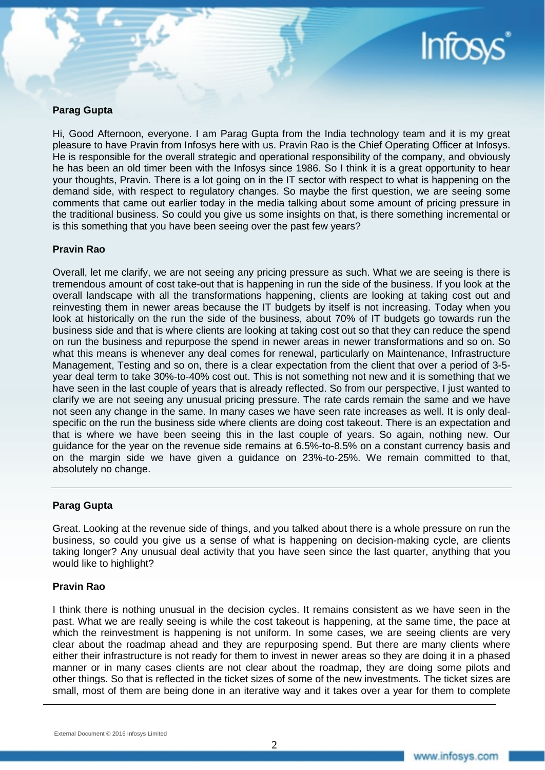

# **Parag Gupta**

Hi, Good Afternoon, everyone. I am Parag Gupta from the India technology team and it is my great pleasure to have Pravin from Infosys here with us. Pravin Rao is the Chief Operating Officer at Infosys. He is responsible for the overall strategic and operational responsibility of the company, and obviously he has been an old timer been with the Infosys since 1986. So I think it is a great opportunity to hear your thoughts, Pravin. There is a lot going on in the IT sector with respect to what is happening on the demand side, with respect to regulatory changes. So maybe the first question, we are seeing some comments that came out earlier today in the media talking about some amount of pricing pressure in the traditional business. So could you give us some insights on that, is there something incremental or is this something that you have been seeing over the past few years?

#### **Pravin Rao**

Overall, let me clarify, we are not seeing any pricing pressure as such. What we are seeing is there is tremendous amount of cost take-out that is happening in run the side of the business. If you look at the overall landscape with all the transformations happening, clients are looking at taking cost out and reinvesting them in newer areas because the IT budgets by itself is not increasing. Today when you look at historically on the run the side of the business, about 70% of IT budgets go towards run the business side and that is where clients are looking at taking cost out so that they can reduce the spend on run the business and repurpose the spend in newer areas in newer transformations and so on. So what this means is whenever any deal comes for renewal, particularly on Maintenance, Infrastructure Management, Testing and so on, there is a clear expectation from the client that over a period of 3-5 year deal term to take 30%-to-40% cost out. This is not something not new and it is something that we have seen in the last couple of years that is already reflected. So from our perspective, I just wanted to clarify we are not seeing any unusual pricing pressure. The rate cards remain the same and we have not seen any change in the same. In many cases we have seen rate increases as well. It is only dealspecific on the run the business side where clients are doing cost takeout. There is an expectation and that is where we have been seeing this in the last couple of years. So again, nothing new. Our guidance for the year on the revenue side remains at 6.5%-to-8.5% on a constant currency basis and on the margin side we have given a guidance on 23%-to-25%. We remain committed to that, absolutely no change.

# **Parag Gupta**

Great. Looking at the revenue side of things, and you talked about there is a whole pressure on run the business, so could you give us a sense of what is happening on decision-making cycle, are clients taking longer? Any unusual deal activity that you have seen since the last quarter, anything that you would like to highlight?

# **Pravin Rao**

I think there is nothing unusual in the decision cycles. It remains consistent as we have seen in the past. What we are really seeing is while the cost takeout is happening, at the same time, the pace at which the reinvestment is happening is not uniform. In some cases, we are seeing clients are very clear about the roadmap ahead and they are repurposing spend. But there are many clients where either their infrastructure is not ready for them to invest in newer areas so they are doing it in a phased manner or in many cases clients are not clear about the roadmap, they are doing some pilots and other things. So that is reflected in the ticket sizes of some of the new investments. The ticket sizes are small, most of them are being done in an iterative way and it takes over a year for them to complete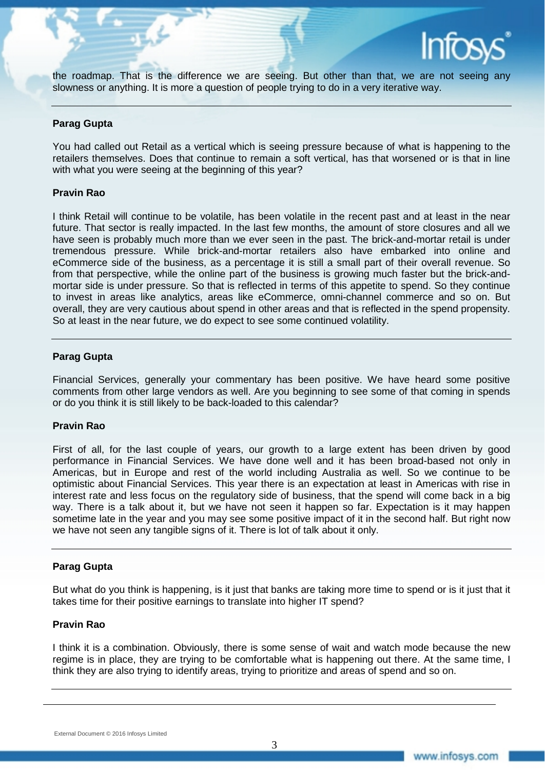the roadmap. That is the difference we are seeing. But other than that, we are not seeing any slowness or anything. It is more a question of people trying to do in a very iterative way.

# **Parag Gupta**

You had called out Retail as a vertical which is seeing pressure because of what is happening to the retailers themselves. Does that continue to remain a soft vertical, has that worsened or is that in line with what you were seeing at the beginning of this year?

#### **Pravin Rao**

I think Retail will continue to be volatile, has been volatile in the recent past and at least in the near future. That sector is really impacted. In the last few months, the amount of store closures and all we have seen is probably much more than we ever seen in the past. The brick-and-mortar retail is under tremendous pressure. While brick-and-mortar retailers also have embarked into online and eCommerce side of the business, as a percentage it is still a small part of their overall revenue. So from that perspective, while the online part of the business is growing much faster but the brick-andmortar side is under pressure. So that is reflected in terms of this appetite to spend. So they continue to invest in areas like analytics, areas like eCommerce, omni-channel commerce and so on. But overall, they are very cautious about spend in other areas and that is reflected in the spend propensity. So at least in the near future, we do expect to see some continued volatility.

#### **Parag Gupta**

Financial Services, generally your commentary has been positive. We have heard some positive comments from other large vendors as well. Are you beginning to see some of that coming in spends or do you think it is still likely to be back-loaded to this calendar?

#### **Pravin Rao**

First of all, for the last couple of years, our growth to a large extent has been driven by good performance in Financial Services. We have done well and it has been broad-based not only in Americas, but in Europe and rest of the world including Australia as well. So we continue to be optimistic about Financial Services. This year there is an expectation at least in Americas with rise in interest rate and less focus on the regulatory side of business, that the spend will come back in a big way. There is a talk about it, but we have not seen it happen so far. Expectation is it may happen sometime late in the year and you may see some positive impact of it in the second half. But right now we have not seen any tangible signs of it. There is lot of talk about it only.

# **Parag Gupta**

But what do you think is happening, is it just that banks are taking more time to spend or is it just that it takes time for their positive earnings to translate into higher IT spend?

# **Pravin Rao**

I think it is a combination. Obviously, there is some sense of wait and watch mode because the new regime is in place, they are trying to be comfortable what is happening out there. At the same time, I think they are also trying to identify areas, trying to prioritize and areas of spend and so on.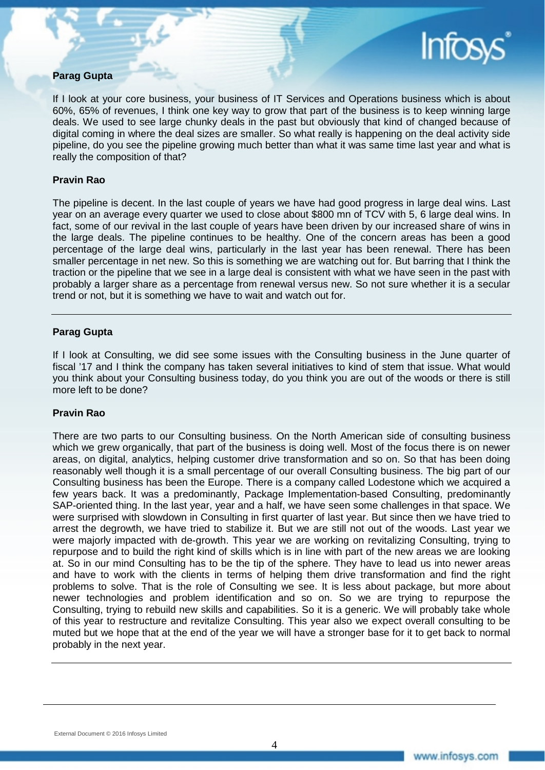# **Parag Gupta**

If I look at your core business, your business of IT Services and Operations business which is about 60%, 65% of revenues, I think one key way to grow that part of the business is to keep winning large deals. We used to see large chunky deals in the past but obviously that kind of changed because of digital coming in where the deal sizes are smaller. So what really is happening on the deal activity side pipeline, do you see the pipeline growing much better than what it was same time last year and what is really the composition of that?

# **Pravin Rao**

The pipeline is decent. In the last couple of years we have had good progress in large deal wins. Last year on an average every quarter we used to close about \$800 mn of TCV with 5, 6 large deal wins. In fact, some of our revival in the last couple of years have been driven by our increased share of wins in the large deals. The pipeline continues to be healthy. One of the concern areas has been a good percentage of the large deal wins, particularly in the last year has been renewal. There has been smaller percentage in net new. So this is something we are watching out for. But barring that I think the traction or the pipeline that we see in a large deal is consistent with what we have seen in the past with probably a larger share as a percentage from renewal versus new. So not sure whether it is a secular trend or not, but it is something we have to wait and watch out for.

#### **Parag Gupta**

If I look at Consulting, we did see some issues with the Consulting business in the June quarter of fiscal '17 and I think the company has taken several initiatives to kind of stem that issue. What would you think about your Consulting business today, do you think you are out of the woods or there is still more left to be done?

#### **Pravin Rao**

There are two parts to our Consulting business. On the North American side of consulting business which we grew organically, that part of the business is doing well. Most of the focus there is on newer areas, on digital, analytics, helping customer drive transformation and so on. So that has been doing reasonably well though it is a small percentage of our overall Consulting business. The big part of our Consulting business has been the Europe. There is a company called Lodestone which we acquired a few years back. It was a predominantly, Package Implementation-based Consulting, predominantly SAP-oriented thing. In the last year, year and a half, we have seen some challenges in that space. We were surprised with slowdown in Consulting in first quarter of last year. But since then we have tried to arrest the degrowth, we have tried to stabilize it. But we are still not out of the woods. Last year we were majorly impacted with de-growth. This year we are working on revitalizing Consulting, trying to repurpose and to build the right kind of skills which is in line with part of the new areas we are looking at. So in our mind Consulting has to be the tip of the sphere. They have to lead us into newer areas and have to work with the clients in terms of helping them drive transformation and find the right problems to solve. That is the role of Consulting we see. It is less about package, but more about newer technologies and problem identification and so on. So we are trying to repurpose the Consulting, trying to rebuild new skills and capabilities. So it is a generic. We will probably take whole of this year to restructure and revitalize Consulting. This year also we expect overall consulting to be muted but we hope that at the end of the year we will have a stronger base for it to get back to normal probably in the next year.

**Infos**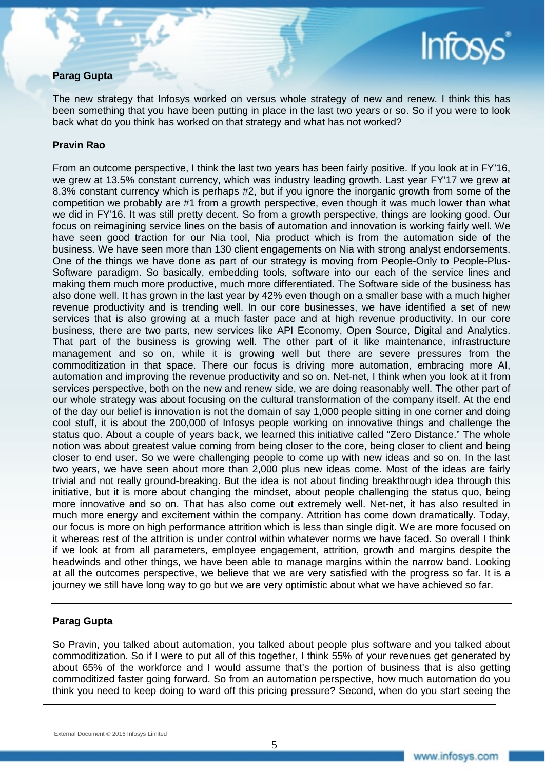# **Parag Gupta**

The new strategy that Infosys worked on versus whole strategy of new and renew. I think this has been something that you have been putting in place in the last two years or so. So if you were to look back what do you think has worked on that strategy and what has not worked?

# **Pravin Rao**

From an outcome perspective, I think the last two years has been fairly positive. If you look at in FY'16, we grew at 13.5% constant currency, which was industry leading growth. Last year FY'17 we grew at 8.3% constant currency which is perhaps #2, but if you ignore the inorganic growth from some of the competition we probably are #1 from a growth perspective, even though it was much lower than what we did in FY'16. It was still pretty decent. So from a growth perspective, things are looking good. Our focus on reimagining service lines on the basis of automation and innovation is working fairly well. We have seen good traction for our Nia tool, Nia product which is from the automation side of the business. We have seen more than 130 client engagements on Nia with strong analyst endorsements. One of the things we have done as part of our strategy is moving from People-Only to People-Plus-Software paradigm. So basically, embedding tools, software into our each of the service lines and making them much more productive, much more differentiated. The Software side of the business has also done well. It has grown in the last year by 42% even though on a smaller base with a much higher revenue productivity and is trending well. In our core businesses, we have identified a set of new services that is also growing at a much faster pace and at high revenue productivity. In our core business, there are two parts, new services like API Economy, Open Source, Digital and Analytics. That part of the business is growing well. The other part of it like maintenance, infrastructure management and so on, while it is growing well but there are severe pressures from the commoditization in that space. There our focus is driving more automation, embracing more AI, automation and improving the revenue productivity and so on. Net-net, I think when you look at it from services perspective, both on the new and renew side, we are doing reasonably well. The other part of our whole strategy was about focusing on the cultural transformation of the company itself. At the end of the day our belief is innovation is not the domain of say 1,000 people sitting in one corner and doing cool stuff, it is about the 200,000 of Infosys people working on innovative things and challenge the status quo. About a couple of years back, we learned this initiative called "Zero Distance." The whole notion was about greatest value coming from being closer to the core, being closer to client and being closer to end user. So we were challenging people to come up with new ideas and so on. In the last two years, we have seen about more than 2,000 plus new ideas come. Most of the ideas are fairly trivial and not really ground-breaking. But the idea is not about finding breakthrough idea through this initiative, but it is more about changing the mindset, about people challenging the status quo, being more innovative and so on. That has also come out extremely well. Net-net, it has also resulted in much more energy and excitement within the company. Attrition has come down dramatically. Today, our focus is more on high performance attrition which is less than single digit. We are more focused on it whereas rest of the attrition is under control within whatever norms we have faced. So overall I think if we look at from all parameters, employee engagement, attrition, growth and margins despite the headwinds and other things, we have been able to manage margins within the narrow band. Looking at all the outcomes perspective, we believe that we are very satisfied with the progress so far. It is a journey we still have long way to go but we are very optimistic about what we have achieved so far.

# **Parag Gupta**

So Pravin, you talked about automation, you talked about people plus software and you talked about commoditization. So if I were to put all of this together, I think 55% of your revenues get generated by about 65% of the workforce and I would assume that's the portion of business that is also getting commoditized faster going forward. So from an automation perspective, how much automation do you think you need to keep doing to ward off this pricing pressure? Second, when do you start seeing the

**Infos**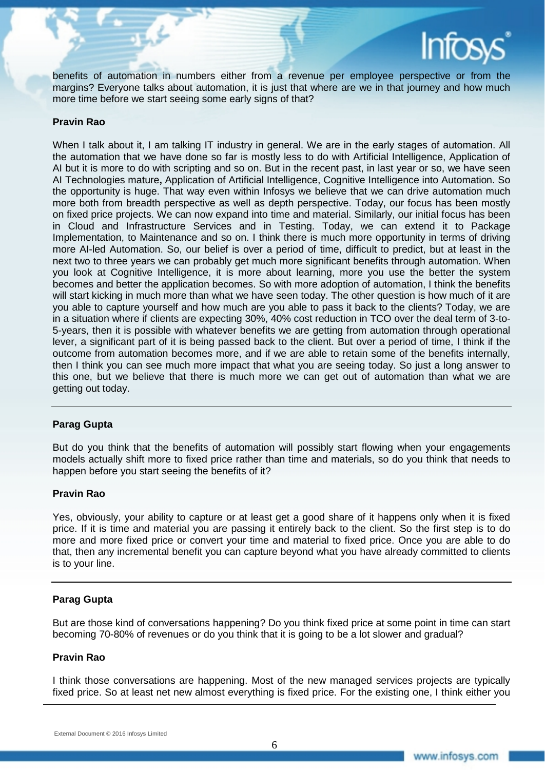

benefits of automation in numbers either from a revenue per employee perspective or from the margins? Everyone talks about automation, it is just that where are we in that journey and how much more time before we start seeing some early signs of that?

#### **Pravin Rao**

When I talk about it, I am talking IT industry in general. We are in the early stages of automation. All the automation that we have done so far is mostly less to do with Artificial Intelligence, Application of AI but it is more to do with scripting and so on. But in the recent past, in last year or so, we have seen AI Technologies mature**,** Application of Artificial Intelligence, Cognitive Intelligence into Automation. So the opportunity is huge. That way even within Infosys we believe that we can drive automation much more both from breadth perspective as well as depth perspective. Today, our focus has been mostly on fixed price projects. We can now expand into time and material. Similarly, our initial focus has been in Cloud and Infrastructure Services and in Testing. Today, we can extend it to Package Implementation, to Maintenance and so on. I think there is much more opportunity in terms of driving more AI-led Automation. So, our belief is over a period of time, difficult to predict, but at least in the next two to three years we can probably get much more significant benefits through automation. When you look at Cognitive Intelligence, it is more about learning, more you use the better the system becomes and better the application becomes. So with more adoption of automation, I think the benefits will start kicking in much more than what we have seen today. The other question is how much of it are you able to capture yourself and how much are you able to pass it back to the clients? Today, we are in a situation where if clients are expecting 30%, 40% cost reduction in TCO over the deal term of 3-to-5-years, then it is possible with whatever benefits we are getting from automation through operational lever, a significant part of it is being passed back to the client. But over a period of time, I think if the outcome from automation becomes more, and if we are able to retain some of the benefits internally, then I think you can see much more impact that what you are seeing today. So just a long answer to this one, but we believe that there is much more we can get out of automation than what we are getting out today.

# **Parag Gupta**

But do you think that the benefits of automation will possibly start flowing when your engagements models actually shift more to fixed price rather than time and materials, so do you think that needs to happen before you start seeing the benefits of it?

#### **Pravin Rao**

Yes, obviously, your ability to capture or at least get a good share of it happens only when it is fixed price. If it is time and material you are passing it entirely back to the client. So the first step is to do more and more fixed price or convert your time and material to fixed price. Once you are able to do that, then any incremental benefit you can capture beyond what you have already committed to clients is to your line.

#### **Parag Gupta**

But are those kind of conversations happening? Do you think fixed price at some point in time can start becoming 70-80% of revenues or do you think that it is going to be a lot slower and gradual?

#### **Pravin Rao**

I think those conversations are happening. Most of the new managed services projects are typically fixed price. So at least net new almost everything is fixed price. For the existing one, I think either you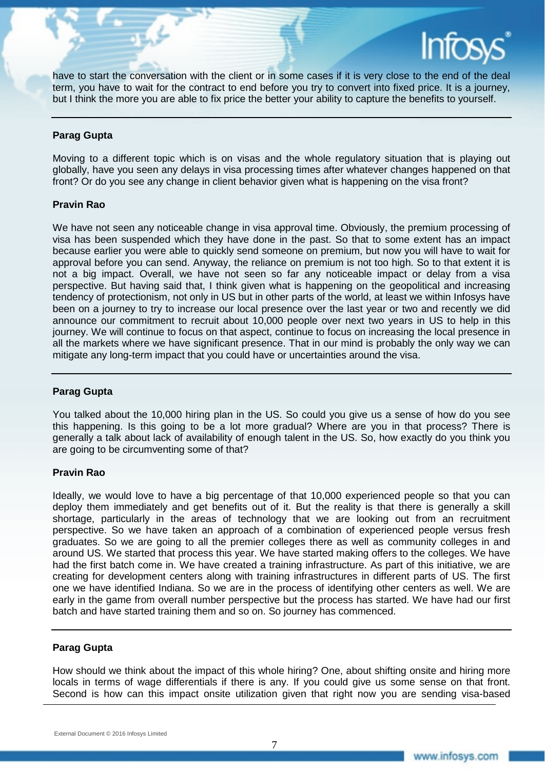have to start the conversation with the client or in some cases if it is very close to the end of the deal term, you have to wait for the contract to end before you try to convert into fixed price. It is a journey, but I think the more you are able to fix price the better your ability to capture the benefits to yourself.

# **Parag Gupta**

Moving to a different topic which is on visas and the whole regulatory situation that is playing out globally, have you seen any delays in visa processing times after whatever changes happened on that front? Or do you see any change in client behavior given what is happening on the visa front?

# **Pravin Rao**

We have not seen any noticeable change in visa approval time. Obviously, the premium processing of visa has been suspended which they have done in the past. So that to some extent has an impact because earlier you were able to quickly send someone on premium, but now you will have to wait for approval before you can send. Anyway, the reliance on premium is not too high. So to that extent it is not a big impact. Overall, we have not seen so far any noticeable impact or delay from a visa perspective. But having said that, I think given what is happening on the geopolitical and increasing tendency of protectionism, not only in US but in other parts of the world, at least we within Infosys have been on a journey to try to increase our local presence over the last year or two and recently we did announce our commitment to recruit about 10,000 people over next two years in US to help in this journey. We will continue to focus on that aspect, continue to focus on increasing the local presence in all the markets where we have significant presence. That in our mind is probably the only way we can mitigate any long-term impact that you could have or uncertainties around the visa.

# **Parag Gupta**

You talked about the 10,000 hiring plan in the US. So could you give us a sense of how do you see this happening. Is this going to be a lot more gradual? Where are you in that process? There is generally a talk about lack of availability of enough talent in the US. So, how exactly do you think you are going to be circumventing some of that?

#### **Pravin Rao**

Ideally, we would love to have a big percentage of that 10,000 experienced people so that you can deploy them immediately and get benefits out of it. But the reality is that there is generally a skill shortage, particularly in the areas of technology that we are looking out from an recruitment perspective. So we have taken an approach of a combination of experienced people versus fresh graduates. So we are going to all the premier colleges there as well as community colleges in and around US. We started that process this year. We have started making offers to the colleges. We have had the first batch come in. We have created a training infrastructure. As part of this initiative, we are creating for development centers along with training infrastructures in different parts of US. The first one we have identified Indiana. So we are in the process of identifying other centers as well. We are early in the game from overall number perspective but the process has started. We have had our first batch and have started training them and so on. So journey has commenced.

# **Parag Gupta**

How should we think about the impact of this whole hiring? One, about shifting onsite and hiring more locals in terms of wage differentials if there is any. If you could give us some sense on that front. Second is how can this impact onsite utilization given that right now you are sending visa-based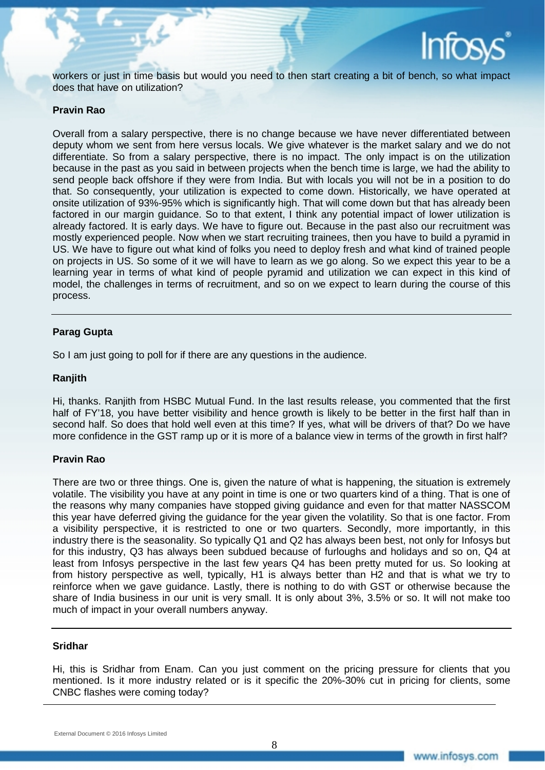

workers or just in time basis but would you need to then start creating a bit of bench, so what impact does that have on utilization?

#### **Pravin Rao**

Overall from a salary perspective, there is no change because we have never differentiated between deputy whom we sent from here versus locals. We give whatever is the market salary and we do not differentiate. So from a salary perspective, there is no impact. The only impact is on the utilization because in the past as you said in between projects when the bench time is large, we had the ability to send people back offshore if they were from India. But with locals you will not be in a position to do that. So consequently, your utilization is expected to come down. Historically, we have operated at onsite utilization of 93%-95% which is significantly high. That will come down but that has already been factored in our margin guidance. So to that extent, I think any potential impact of lower utilization is already factored. It is early days. We have to figure out. Because in the past also our recruitment was mostly experienced people. Now when we start recruiting trainees, then you have to build a pyramid in US. We have to figure out what kind of folks you need to deploy fresh and what kind of trained people on projects in US. So some of it we will have to learn as we go along. So we expect this year to be a learning year in terms of what kind of people pyramid and utilization we can expect in this kind of model, the challenges in terms of recruitment, and so on we expect to learn during the course of this process.

# **Parag Gupta**

So I am just going to poll for if there are any questions in the audience.

#### **Ranjith**

Hi, thanks. Ranjith from HSBC Mutual Fund. In the last results release, you commented that the first half of FY'18, you have better visibility and hence growth is likely to be better in the first half than in second half. So does that hold well even at this time? If yes, what will be drivers of that? Do we have more confidence in the GST ramp up or it is more of a balance view in terms of the growth in first half?

# **Pravin Rao**

There are two or three things. One is, given the nature of what is happening, the situation is extremely volatile. The visibility you have at any point in time is one or two quarters kind of a thing. That is one of the reasons why many companies have stopped giving guidance and even for that matter NASSCOM this year have deferred giving the guidance for the year given the volatility. So that is one factor. From a visibility perspective, it is restricted to one or two quarters. Secondly, more importantly, in this industry there is the seasonality. So typically Q1 and Q2 has always been best, not only for Infosys but for this industry, Q3 has always been subdued because of furloughs and holidays and so on, Q4 at least from Infosys perspective in the last few years Q4 has been pretty muted for us. So looking at from history perspective as well, typically, H1 is always better than H2 and that is what we try to reinforce when we gave guidance. Lastly, there is nothing to do with GST or otherwise because the share of India business in our unit is very small. It is only about 3%, 3.5% or so. It will not make too much of impact in your overall numbers anyway.

# **Sridhar**

Hi, this is Sridhar from Enam. Can you just comment on the pricing pressure for clients that you mentioned. Is it more industry related or is it specific the 20%-30% cut in pricing for clients, some CNBC flashes were coming today?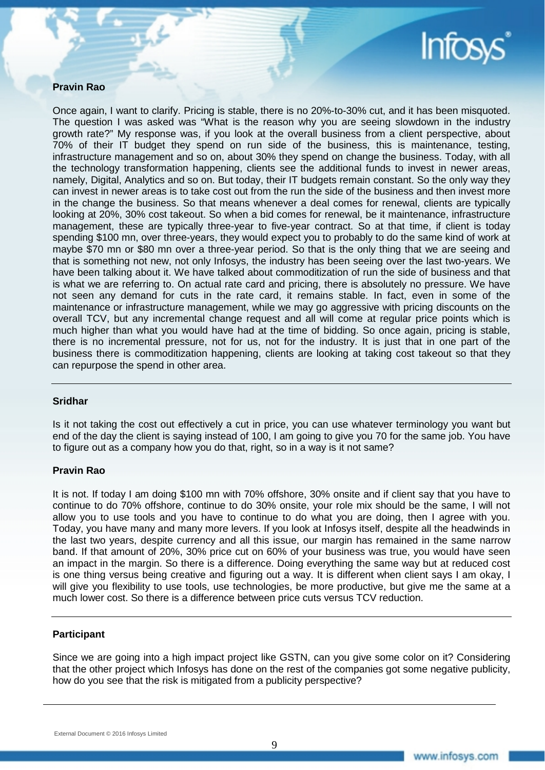

# **Pravin Rao**

Once again, I want to clarify. Pricing is stable, there is no 20%-to-30% cut, and it has been misquoted. The question I was asked was "What is the reason why you are seeing slowdown in the industry growth rate?" My response was, if you look at the overall business from a client perspective, about 70% of their IT budget they spend on run side of the business, this is maintenance, testing, infrastructure management and so on, about 30% they spend on change the business. Today, with all the technology transformation happening, clients see the additional funds to invest in newer areas, namely, Digital, Analytics and so on. But today, their IT budgets remain constant. So the only way they can invest in newer areas is to take cost out from the run the side of the business and then invest more in the change the business. So that means whenever a deal comes for renewal, clients are typically looking at 20%, 30% cost takeout. So when a bid comes for renewal, be it maintenance, infrastructure management, these are typically three-year to five-year contract. So at that time, if client is today spending \$100 mn, over three-years, they would expect you to probably to do the same kind of work at maybe \$70 mn or \$80 mn over a three-year period. So that is the only thing that we are seeing and that is something not new, not only Infosys, the industry has been seeing over the last two-years. We have been talking about it. We have talked about commoditization of run the side of business and that is what we are referring to. On actual rate card and pricing, there is absolutely no pressure. We have not seen any demand for cuts in the rate card, it remains stable. In fact, even in some of the maintenance or infrastructure management, while we may go aggressive with pricing discounts on the overall TCV, but any incremental change request and all will come at regular price points which is much higher than what you would have had at the time of bidding. So once again, pricing is stable, there is no incremental pressure, not for us, not for the industry. It is just that in one part of the business there is commoditization happening, clients are looking at taking cost takeout so that they can repurpose the spend in other area.

# **Sridhar**

Is it not taking the cost out effectively a cut in price, you can use whatever terminology you want but end of the day the client is saying instead of 100, I am going to give you 70 for the same job. You have to figure out as a company how you do that, right, so in a way is it not same?

#### **Pravin Rao**

It is not. If today I am doing \$100 mn with 70% offshore, 30% onsite and if client say that you have to continue to do 70% offshore, continue to do 30% onsite, your role mix should be the same, I will not allow you to use tools and you have to continue to do what you are doing, then I agree with you. Today, you have many and many more levers. If you look at Infosys itself, despite all the headwinds in the last two years, despite currency and all this issue, our margin has remained in the same narrow band. If that amount of 20%, 30% price cut on 60% of your business was true, you would have seen an impact in the margin. So there is a difference. Doing everything the same way but at reduced cost is one thing versus being creative and figuring out a way. It is different when client says I am okay, I will give you flexibility to use tools, use technologies, be more productive, but give me the same at a much lower cost. So there is a difference between price cuts versus TCV reduction.

#### **Participant**

Since we are going into a high impact project like GSTN, can you give some color on it? Considering that the other project which Infosys has done on the rest of the companies got some negative publicity, how do you see that the risk is mitigated from a publicity perspective?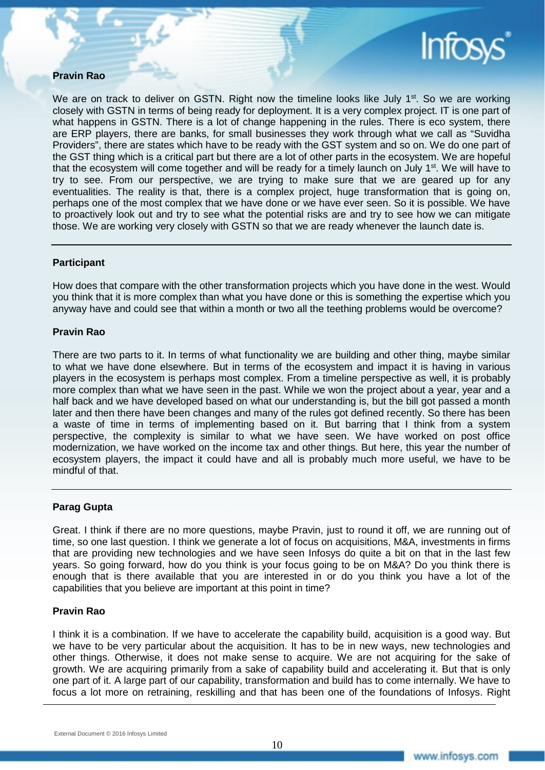

# **Pravin Rao**

We are on track to deliver on GSTN. Right now the timeline looks like July  $1<sup>st</sup>$ . So we are working closely with GSTN in terms of being ready for deployment. It is a very complex project. IT is one part of what happens in GSTN. There is a lot of change happening in the rules. There is eco system, there are ERP players, there are banks, for small businesses they work through what we call as "Suvidha Providers", there are states which have to be ready with the GST system and so on. We do one part of the GST thing which is a critical part but there are a lot of other parts in the ecosystem. We are hopeful that the ecosystem will come together and will be ready for a timely launch on July 1<sup>st</sup>. We will have to try to see. From our perspective, we are trying to make sure that we are geared up for any eventualities. The reality is that, there is a complex project, huge transformation that is going on, perhaps one of the most complex that we have done or we have ever seen. So it is possible. We have to proactively look out and try to see what the potential risks are and try to see how we can mitigate those. We are working very closely with GSTN so that we are ready whenever the launch date is.

# **Participant**

How does that compare with the other transformation projects which you have done in the west. Would you think that it is more complex than what you have done or this is something the expertise which you anyway have and could see that within a month or two all the teething problems would be overcome?

#### **Pravin Rao**

There are two parts to it. In terms of what functionality we are building and other thing, maybe similar to what we have done elsewhere. But in terms of the ecosystem and impact it is having in various players in the ecosystem is perhaps most complex. From a timeline perspective as well, it is probably more complex than what we have seen in the past. While we won the project about a year, year and a half back and we have developed based on what our understanding is, but the bill got passed a month later and then there have been changes and many of the rules got defined recently. So there has been a waste of time in terms of implementing based on it. But barring that I think from a system perspective, the complexity is similar to what we have seen. We have worked on post office modernization, we have worked on the income tax and other things. But here, this year the number of ecosystem players, the impact it could have and all is probably much more useful, we have to be mindful of that.

# **Parag Gupta**

Great. I think if there are no more questions, maybe Pravin, just to round it off, we are running out of time, so one last question. I think we generate a lot of focus on acquisitions, M&A, investments in firms that are providing new technologies and we have seen Infosys do quite a bit on that in the last few years. So going forward, how do you think is your focus going to be on M&A? Do you think there is enough that is there available that you are interested in or do you think you have a lot of the capabilities that you believe are important at this point in time?

#### **Pravin Rao**

I think it is a combination. If we have to accelerate the capability build, acquisition is a good way. But we have to be very particular about the acquisition. It has to be in new ways, new technologies and other things. Otherwise, it does not make sense to acquire. We are not acquiring for the sake of growth. We are acquiring primarily from a sake of capability build and accelerating it. But that is only one part of it. A large part of our capability, transformation and build has to come internally. We have to focus a lot more on retraining, reskilling and that has been one of the foundations of Infosys. Right